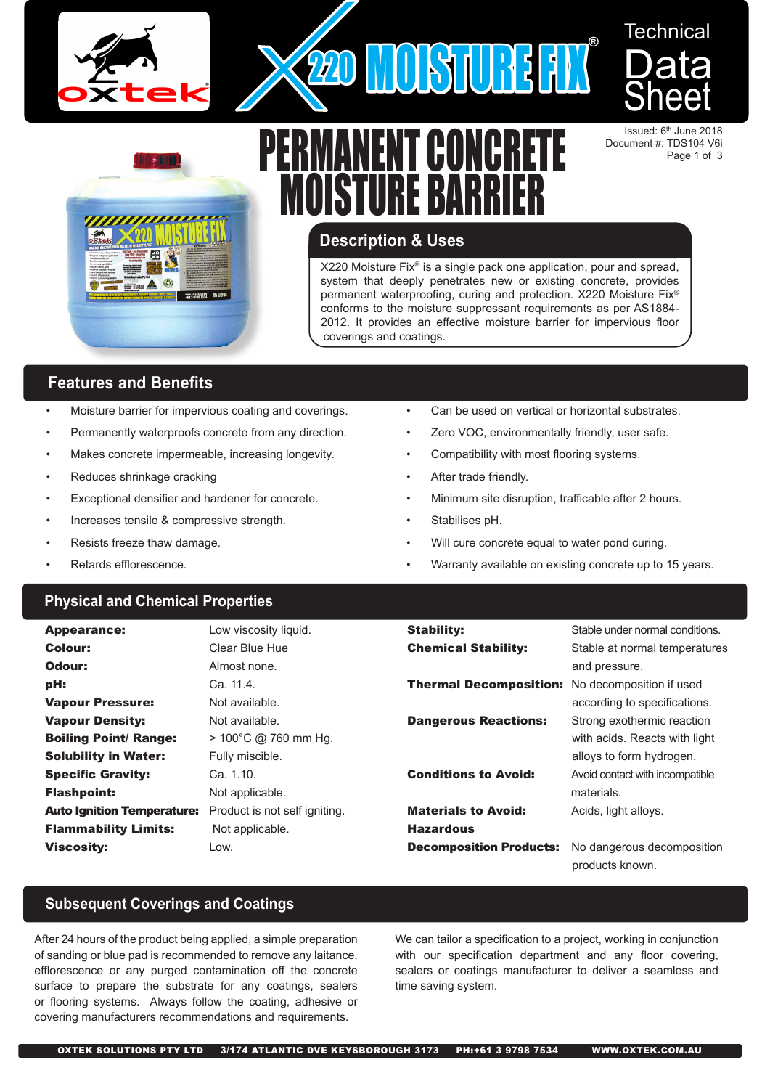



744U

# **Technical Data** Sheet

Issued: 6<sup>th</sup> June 2018 Document #: TDS104 V6i Page 1 of 3

# **Description & Uses**

X220 Moisture Fix® is a single pack one application, pour and spread, system that deeply penetrates new or existing concrete, provides permanent waterproofing, curing and protection. X220 Moisture Fix® conforms to the moisture suppressant requirements as per AS1884- 2012. It provides an effective moisture barrier for impervious floor coverings and coatings.

# **Features and Benefits**

- Moisture barrier for impervious coating and coverings.
- Permanently waterproofs concrete from any direction.
- Makes concrete impermeable, increasing longevity.
- Reduces shrinkage cracking
- Exceptional densifier and hardener for concrete.
- Increases tensile & compressive strength.
- Resists freeze thaw damage.
- Retards efflorescence.

# **Physical and Chemical Properties**

| Can be used on vertical or horizontal substrates. |
|---------------------------------------------------|
|---------------------------------------------------|

- Zero VOC, environmentally friendly, user safe.
- Compatibility with most flooring systems.
- After trade friendly.
- Minimum site disruption, trafficable after 2 hours.
- Stabilises pH.
- Will cure concrete equal to water pond curing.
- Warranty available on existing concrete up to 15 years.

| <b>Appearance:</b>                | Low viscosity liquid.          | <b>Stability:</b>              | Stable under normal conditions.               |
|-----------------------------------|--------------------------------|--------------------------------|-----------------------------------------------|
| Colour:                           | Clear Blue Hue                 | <b>Chemical Stability:</b>     | Stable at normal temperatures                 |
| Odour:                            | Almost none.                   |                                | and pressure.                                 |
| pH:                               | Ca. 11.4.                      | <b>Thermal Decomposition:</b>  | No decomposition if used                      |
| <b>Vapour Pressure:</b>           | Not available.                 |                                | according to specifications.                  |
| <b>Vapour Density:</b>            | Not available.                 | <b>Dangerous Reactions:</b>    | Strong exothermic reaction                    |
| <b>Boiling Point/ Range:</b>      | $> 100^{\circ}$ C @ 760 mm Hq. |                                | with acids. Reacts with light                 |
| <b>Solubility in Water:</b>       | Fully miscible.                |                                | alloys to form hydrogen.                      |
| <b>Specific Gravity:</b>          | Ca. 1.10.                      | <b>Conditions to Avoid:</b>    | Avoid contact with incompatible               |
| <b>Flashpoint:</b>                | Not applicable.                |                                | materials.                                    |
| <b>Auto Ignition Temperature:</b> | Product is not self igniting.  | <b>Materials to Avoid:</b>     | Acids, light alloys.                          |
| <b>Flammability Limits:</b>       | Not applicable.                | <b>Hazardous</b>               |                                               |
| <b>Viscosity:</b>                 | Low.                           | <b>Decomposition Products:</b> | No dangerous decomposition<br>products known. |

# **Subsequent Coverings and Coatings**

After 24 hours of the product being applied, a simple preparation of sanding or blue pad is recommended to remove any laitance, efflorescence or any purged contamination off the concrete surface to prepare the substrate for any coatings, sealers or flooring systems. Always follow the coating, adhesive or covering manufacturers recommendations and requirements.

We can tailor a specification to a project, working in conjunction with our specification department and any floor covering, sealers or coatings manufacturer to deliver a seamless and time saving system.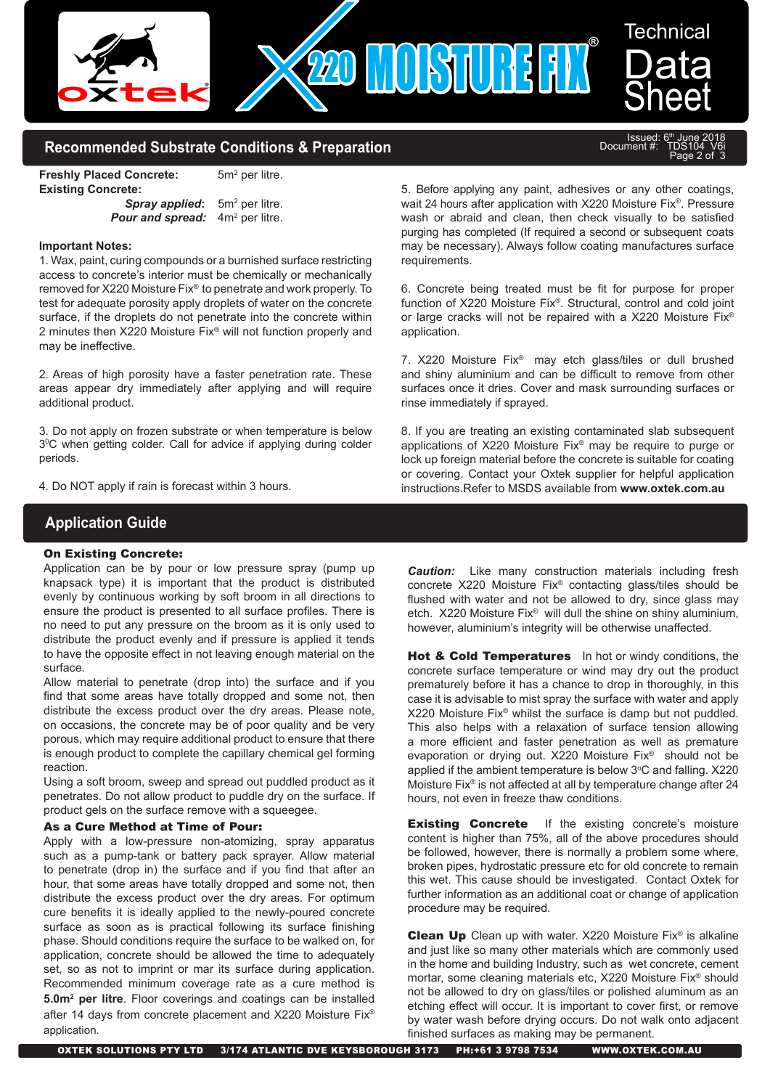

## **Recommended Substrate Conditions & Preparation**

**Freshly Placed Concrete:**  $5m<sup>2</sup>$  per litre. **Existing Concrete:**

**Spray applied:**  $5m<sup>2</sup>$  per litre. **Pour and spread:** 4m<sup>2</sup> per litre.

#### **Important Notes:**

1. Wax, paint, curing compounds or a burnished surface restricting access to concrete's interior must be chemically or mechanically removed for X220 Moisture Fix® to penetrate and work properly. To test for adequate porosity apply droplets of water on the concrete surface, if the droplets do not penetrate into the concrete within 2 minutes then X220 Moisture Fix® will not function properly and may be ineffective.

2. Areas of high porosity have a faster penetration rate. These areas appear dry immediately after applying and will require additional product.

3. Do not apply on frozen substrate or when temperature is below 30 C when getting colder. Call for advice if applying during colder periods.

4. Do NOT apply if rain is forecast within 3 hours.

5. Before applying any paint, adhesives or any other coatings, wait 24 hours after application with X220 Moisture Fix®. Pressure wash or abraid and clean, then check visually to be satisfied purging has completed (If required a second or subsequent coats may be necessary). Always follow coating manufactures surface requirements.

Issued: 6th June 2018 Document #: TDS104 V6i

Page 2 of 3

6. Concrete being treated must be fit for purpose for proper function of X220 Moisture Fix®. Structural, control and cold joint or large cracks will not be repaired with a X220 Moisture Fix® application.

7. X220 Moisture Fix® may etch glass/tiles or dull brushed and shiny aluminium and can be difficult to remove from other surfaces once it dries. Cover and mask surrounding surfaces or rinse immediately if sprayed.

8. If you are treating an existing contaminated slab subsequent applications of X220 Moisture Fix® may be require to purge or lock up foreign material before the concrete is suitable for coating or covering. Contact your Oxtek supplier for helpful application instructions.Refer to MSDS available from **www.oxtek.com.au**

# **Application Guide**

### On Existing Concrete:

Application can be by pour or low pressure spray (pump up knapsack type) it is important that the product is distributed evenly by continuous working by soft broom in all directions to ensure the product is presented to all surface profiles. There is no need to put any pressure on the broom as it is only used to distribute the product evenly and if pressure is applied it tends to have the opposite effect in not leaving enough material on the surface.

Allow material to penetrate (drop into) the surface and if you find that some areas have totally dropped and some not, then distribute the excess product over the dry areas. Please note, on occasions, the concrete may be of poor quality and be very porous, which may require additional product to ensure that there is enough product to complete the capillary chemical gel forming reaction.

Using a soft broom, sweep and spread out puddled product as it penetrates. Do not allow product to puddle dry on the surface. If product gels on the surface remove with a squeegee.

#### As a Cure Method at Time of Pour:

Apply with a low-pressure non-atomizing, spray apparatus such as a pump-tank or battery pack sprayer. Allow material to penetrate (drop in) the surface and if you find that after an hour, that some areas have totally dropped and some not, then distribute the excess product over the dry areas. For optimum cure benefits it is ideally applied to the newly-poured concrete surface as soon as is practical following its surface finishing phase. Should conditions require the surface to be walked on, for application, concrete should be allowed the time to adequately set, so as not to imprint or mar its surface during application. Recommended minimum coverage rate as a cure method is **5.0m2 per litre**. Floor coverings and coatings can be installed after 14 days from concrete placement and X220 Moisture Fix® application.

*Caution:* Like many construction materials including fresh concrete X220 Moisture Fix® contacting glass/tiles should be flushed with water and not be allowed to dry, since glass may etch. X220 Moisture Fix® will dull the shine on shiny aluminium, however, aluminium's integrity will be otherwise unaffected.

Hot & Cold Temperatures In hot or windy conditions, the concrete surface temperature or wind may dry out the product prematurely before it has a chance to drop in thoroughly, in this case it is advisable to mist spray the surface with water and apply X220 Moisture Fix® whilst the surface is damp but not puddled. This also helps with a relaxation of surface tension allowing a more efficient and faster penetration as well as premature evaporation or drying out. X220 Moisture Fix® should not be applied if the ambient temperature is below  $3^{\circ}$ C and falling. X220 Moisture Fix® is not affected at all by temperature change after 24 hours, not even in freeze thaw conditions.

**Existing Concrete** If the existing concrete's moisture content is higher than 75%, all of the above procedures should be followed, however, there is normally a problem some where, broken pipes, hydrostatic pressure etc for old concrete to remain this wet. This cause should be investigated. Contact Oxtek for further information as an additional coat or change of application procedure may be required.

**Clean Up** Clean up with water. X220 Moisture Fix<sup>®</sup> is alkaline and just like so many other materials which are commonly used in the home and building Industry, such as wet concrete, cement mortar, some cleaning materials etc, X220 Moisture Fix® should not be allowed to dry on glass/tiles or polished aluminum as an etching effect will occur. It is important to cover first, or remove by water wash before drying occurs. Do not walk onto adjacent finished surfaces as making may be permanent.